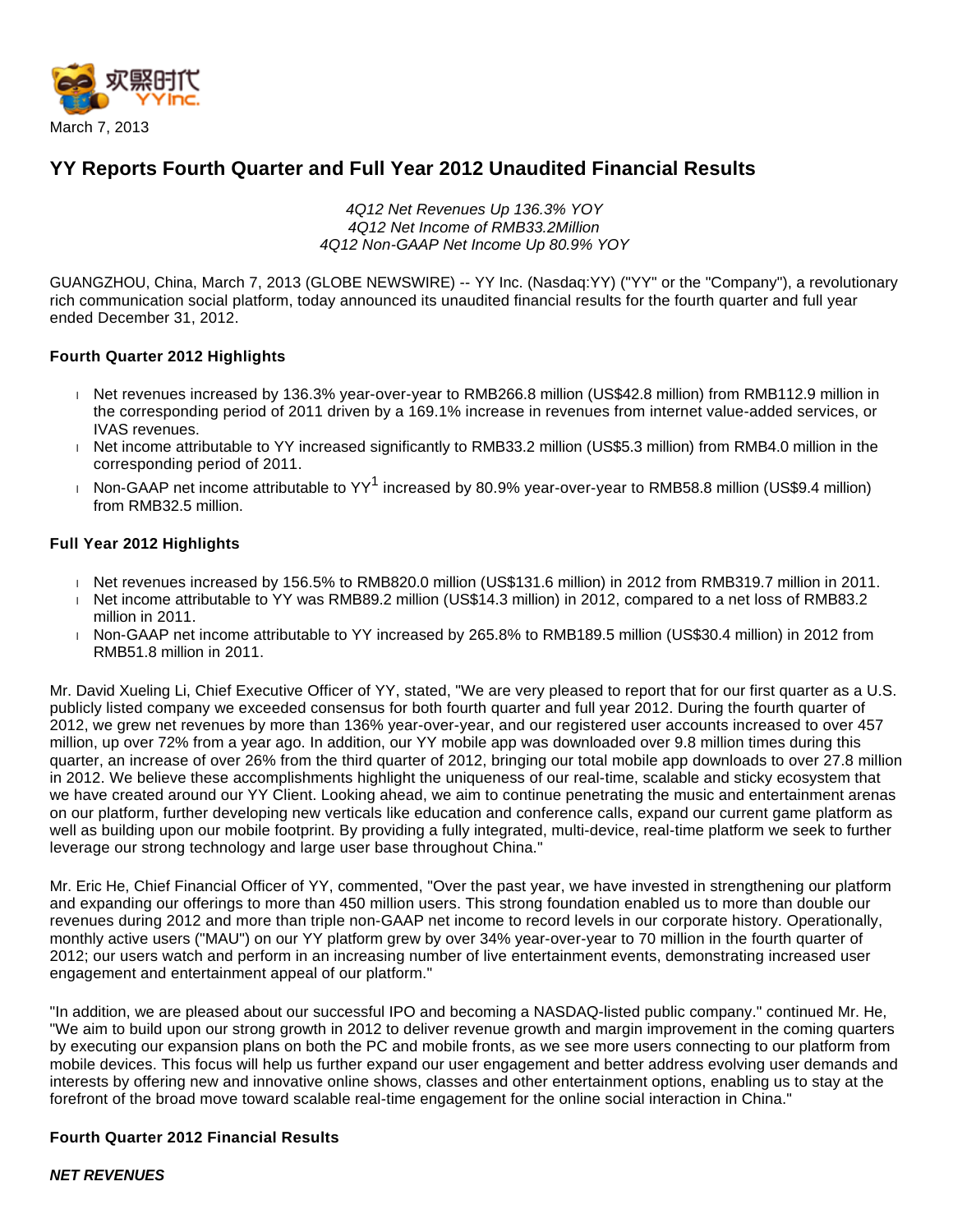

# **YY Reports Fourth Quarter and Full Year 2012 Unaudited Financial Results**

4Q12 Net Revenues Up 136.3% YOY 4Q12 Net Income of RMB33.2Million 4Q12 Non-GAAP Net Income Up 80.9% YOY

GUANGZHOU, China, March 7, 2013 (GLOBE NEWSWIRE) -- YY Inc. (Nasdaq:YY) ("YY" or the "Company"), a revolutionary rich communication social platform, today announced its unaudited financial results for the fourth quarter and full year ended December 31, 2012.

# **Fourth Quarter 2012 Highlights**

- Net revenues increased by 136.3% year-over-year to RMB266.8 million (US\$42.8 million) from RMB112.9 million in the corresponding period of 2011 driven by a 169.1% increase in revenues from internet value-added services, or IVAS revenues.
- Net income attributable to YY increased significantly to RMB33.2 million (US\$5.3 million) from RMB4.0 million in the corresponding period of 2011.
- $\blacksquare$  Non-GAAP net income attributable to YY<sup>1</sup> increased by 80.9% year-over-year to RMB58.8 million (US\$9.4 million) from RMB32.5 million.

# **Full Year 2012 Highlights**

- Net revenues increased by 156.5% to RMB820.0 million (US\$131.6 million) in 2012 from RMB319.7 million in 2011.
- Net income attributable to YY was RMB89.2 million (US\$14.3 million) in 2012, compared to a net loss of RMB83.2 million in 2011.
- Non-GAAP net income attributable to YY increased by 265.8% to RMB189.5 million (US\$30.4 million) in 2012 from RMB51.8 million in 2011.

Mr. David Xueling Li, Chief Executive Officer of YY, stated, "We are very pleased to report that for our first quarter as a U.S. publicly listed company we exceeded consensus for both fourth quarter and full year 2012. During the fourth quarter of 2012, we grew net revenues by more than 136% year-over-year, and our registered user accounts increased to over 457 million, up over 72% from a year ago. In addition, our YY mobile app was downloaded over 9.8 million times during this quarter, an increase of over 26% from the third quarter of 2012, bringing our total mobile app downloads to over 27.8 million in 2012. We believe these accomplishments highlight the uniqueness of our real-time, scalable and sticky ecosystem that we have created around our YY Client. Looking ahead, we aim to continue penetrating the music and entertainment arenas on our platform, further developing new verticals like education and conference calls, expand our current game platform as well as building upon our mobile footprint. By providing a fully integrated, multi-device, real-time platform we seek to further leverage our strong technology and large user base throughout China."

Mr. Eric He, Chief Financial Officer of YY, commented, "Over the past year, we have invested in strengthening our platform and expanding our offerings to more than 450 million users. This strong foundation enabled us to more than double our revenues during 2012 and more than triple non-GAAP net income to record levels in our corporate history. Operationally, monthly active users ("MAU") on our YY platform grew by over 34% year-over-year to 70 million in the fourth quarter of 2012; our users watch and perform in an increasing number of live entertainment events, demonstrating increased user engagement and entertainment appeal of our platform."

"In addition, we are pleased about our successful IPO and becoming a NASDAQ-listed public company." continued Mr. He, "We aim to build upon our strong growth in 2012 to deliver revenue growth and margin improvement in the coming quarters by executing our expansion plans on both the PC and mobile fronts, as we see more users connecting to our platform from mobile devices. This focus will help us further expand our user engagement and better address evolving user demands and interests by offering new and innovative online shows, classes and other entertainment options, enabling us to stay at the forefront of the broad move toward scalable real-time engagement for the online social interaction in China."

#### **Fourth Quarter 2012 Financial Results**

#### **NET REVENUES**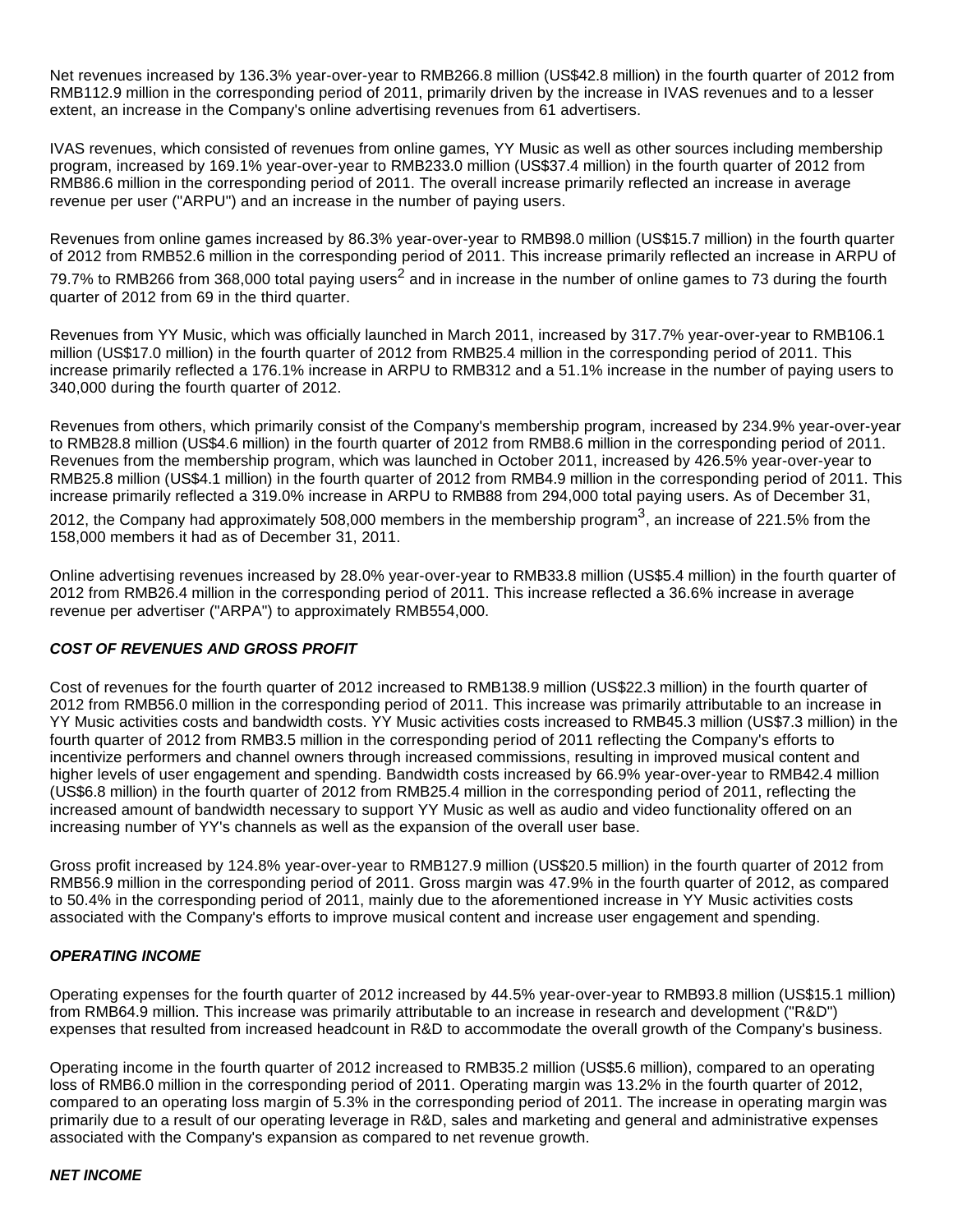Net revenues increased by 136.3% year-over-year to RMB266.8 million (US\$42.8 million) in the fourth quarter of 2012 from RMB112.9 million in the corresponding period of 2011, primarily driven by the increase in IVAS revenues and to a lesser extent, an increase in the Company's online advertising revenues from 61 advertisers.

IVAS revenues, which consisted of revenues from online games, YY Music as well as other sources including membership program, increased by 169.1% year-over-year to RMB233.0 million (US\$37.4 million) in the fourth quarter of 2012 from RMB86.6 million in the corresponding period of 2011. The overall increase primarily reflected an increase in average revenue per user ("ARPU") and an increase in the number of paying users.

Revenues from online games increased by 86.3% year-over-year to RMB98.0 million (US\$15.7 million) in the fourth quarter of 2012 from RMB52.6 million in the corresponding period of 2011. This increase primarily reflected an increase in ARPU of 79.7% to RMB266 from 368,000 total paying users<sup>2</sup> and in increase in the number of online games to 73 during the fourth quarter of 2012 from 69 in the third quarter.

Revenues from YY Music, which was officially launched in March 2011, increased by 317.7% year-over-year to RMB106.1 million (US\$17.0 million) in the fourth quarter of 2012 from RMB25.4 million in the corresponding period of 2011. This increase primarily reflected a 176.1% increase in ARPU to RMB312 and a 51.1% increase in the number of paying users to 340,000 during the fourth quarter of 2012.

Revenues from others, which primarily consist of the Company's membership program, increased by 234.9% year-over-year to RMB28.8 million (US\$4.6 million) in the fourth quarter of 2012 from RMB8.6 million in the corresponding period of 2011. Revenues from the membership program, which was launched in October 2011, increased by 426.5% year-over-year to RMB25.8 million (US\$4.1 million) in the fourth quarter of 2012 from RMB4.9 million in the corresponding period of 2011. This increase primarily reflected a 319.0% increase in ARPU to RMB88 from 294,000 total paying users. As of December 31,

2012, the Company had approximately 508,000 members in the membership program<sup>3</sup>, an increase of 221.5% from the 158,000 members it had as of December 31, 2011.

Online advertising revenues increased by 28.0% year-over-year to RMB33.8 million (US\$5.4 million) in the fourth quarter of 2012 from RMB26.4 million in the corresponding period of 2011. This increase reflected a 36.6% increase in average revenue per advertiser ("ARPA") to approximately RMB554,000.

#### **COST OF REVENUES AND GROSS PROFIT**

Cost of revenues for the fourth quarter of 2012 increased to RMB138.9 million (US\$22.3 million) in the fourth quarter of 2012 from RMB56.0 million in the corresponding period of 2011. This increase was primarily attributable to an increase in YY Music activities costs and bandwidth costs. YY Music activities costs increased to RMB45.3 million (US\$7.3 million) in the fourth quarter of 2012 from RMB3.5 million in the corresponding period of 2011 reflecting the Company's efforts to incentivize performers and channel owners through increased commissions, resulting in improved musical content and higher levels of user engagement and spending. Bandwidth costs increased by 66.9% year-over-year to RMB42.4 million (US\$6.8 million) in the fourth quarter of 2012 from RMB25.4 million in the corresponding period of 2011, reflecting the increased amount of bandwidth necessary to support YY Music as well as audio and video functionality offered on an increasing number of YY's channels as well as the expansion of the overall user base.

Gross profit increased by 124.8% year-over-year to RMB127.9 million (US\$20.5 million) in the fourth quarter of 2012 from RMB56.9 million in the corresponding period of 2011. Gross margin was 47.9% in the fourth quarter of 2012, as compared to 50.4% in the corresponding period of 2011, mainly due to the aforementioned increase in YY Music activities costs associated with the Company's efforts to improve musical content and increase user engagement and spending.

#### **OPERATING INCOME**

Operating expenses for the fourth quarter of 2012 increased by 44.5% year-over-year to RMB93.8 million (US\$15.1 million) from RMB64.9 million. This increase was primarily attributable to an increase in research and development ("R&D") expenses that resulted from increased headcount in R&D to accommodate the overall growth of the Company's business.

Operating income in the fourth quarter of 2012 increased to RMB35.2 million (US\$5.6 million), compared to an operating loss of RMB6.0 million in the corresponding period of 2011. Operating margin was 13.2% in the fourth quarter of 2012, compared to an operating loss margin of 5.3% in the corresponding period of 2011. The increase in operating margin was primarily due to a result of our operating leverage in R&D, sales and marketing and general and administrative expenses associated with the Company's expansion as compared to net revenue growth.

#### **NET INCOME**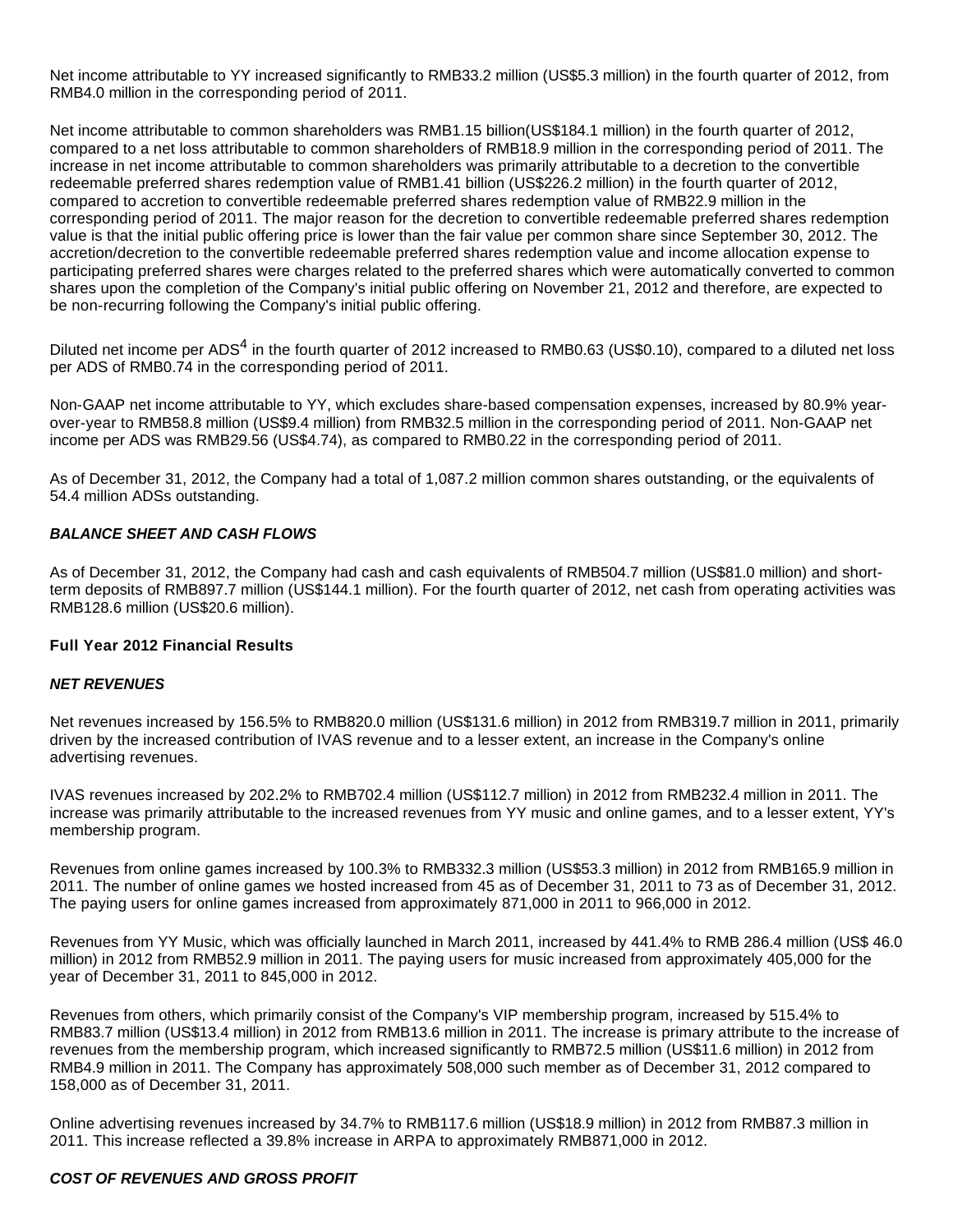Net income attributable to YY increased significantly to RMB33.2 million (US\$5.3 million) in the fourth quarter of 2012, from RMB4.0 million in the corresponding period of 2011.

Net income attributable to common shareholders was RMB1.15 billion(US\$184.1 million) in the fourth quarter of 2012, compared to a net loss attributable to common shareholders of RMB18.9 million in the corresponding period of 2011. The increase in net income attributable to common shareholders was primarily attributable to a decretion to the convertible redeemable preferred shares redemption value of RMB1.41 billion (US\$226.2 million) in the fourth quarter of 2012, compared to accretion to convertible redeemable preferred shares redemption value of RMB22.9 million in the corresponding period of 2011. The major reason for the decretion to convertible redeemable preferred shares redemption value is that the initial public offering price is lower than the fair value per common share since September 30, 2012. The accretion/decretion to the convertible redeemable preferred shares redemption value and income allocation expense to participating preferred shares were charges related to the preferred shares which were automatically converted to common shares upon the completion of the Company's initial public offering on November 21, 2012 and therefore, are expected to be non-recurring following the Company's initial public offering.

Diluted net income per ADS<sup>4</sup> in the fourth quarter of 2012 increased to RMB0.63 (US\$0.10), compared to a diluted net loss per ADS of RMB0.74 in the corresponding period of 2011.

Non-GAAP net income attributable to YY, which excludes share-based compensation expenses, increased by 80.9% yearover-year to RMB58.8 million (US\$9.4 million) from RMB32.5 million in the corresponding period of 2011. Non-GAAP net income per ADS was RMB29.56 (US\$4.74), as compared to RMB0.22 in the corresponding period of 2011.

As of December 31, 2012, the Company had a total of 1,087.2 million common shares outstanding, or the equivalents of 54.4 million ADSs outstanding.

# **BALANCE SHEET AND CASH FLOWS**

As of December 31, 2012, the Company had cash and cash equivalents of RMB504.7 million (US\$81.0 million) and shortterm deposits of RMB897.7 million (US\$144.1 million). For the fourth quarter of 2012, net cash from operating activities was RMB128.6 million (US\$20.6 million).

#### **Full Year 2012 Financial Results**

#### **NET REVENUES**

Net revenues increased by 156.5% to RMB820.0 million (US\$131.6 million) in 2012 from RMB319.7 million in 2011, primarily driven by the increased contribution of IVAS revenue and to a lesser extent, an increase in the Company's online advertising revenues.

IVAS revenues increased by 202.2% to RMB702.4 million (US\$112.7 million) in 2012 from RMB232.4 million in 2011. The increase was primarily attributable to the increased revenues from YY music and online games, and to a lesser extent, YY's membership program.

Revenues from online games increased by 100.3% to RMB332.3 million (US\$53.3 million) in 2012 from RMB165.9 million in 2011. The number of online games we hosted increased from 45 as of December 31, 2011 to 73 as of December 31, 2012. The paying users for online games increased from approximately 871,000 in 2011 to 966,000 in 2012.

Revenues from YY Music, which was officially launched in March 2011, increased by 441.4% to RMB 286.4 million (US\$ 46.0 million) in 2012 from RMB52.9 million in 2011. The paying users for music increased from approximately 405,000 for the year of December 31, 2011 to 845,000 in 2012.

Revenues from others, which primarily consist of the Company's VIP membership program, increased by 515.4% to RMB83.7 million (US\$13.4 million) in 2012 from RMB13.6 million in 2011. The increase is primary attribute to the increase of revenues from the membership program, which increased significantly to RMB72.5 million (US\$11.6 million) in 2012 from RMB4.9 million in 2011. The Company has approximately 508,000 such member as of December 31, 2012 compared to 158,000 as of December 31, 2011.

Online advertising revenues increased by 34.7% to RMB117.6 million (US\$18.9 million) in 2012 from RMB87.3 million in 2011. This increase reflected a 39.8% increase in ARPA to approximately RMB871,000 in 2012.

#### **COST OF REVENUES AND GROSS PROFIT**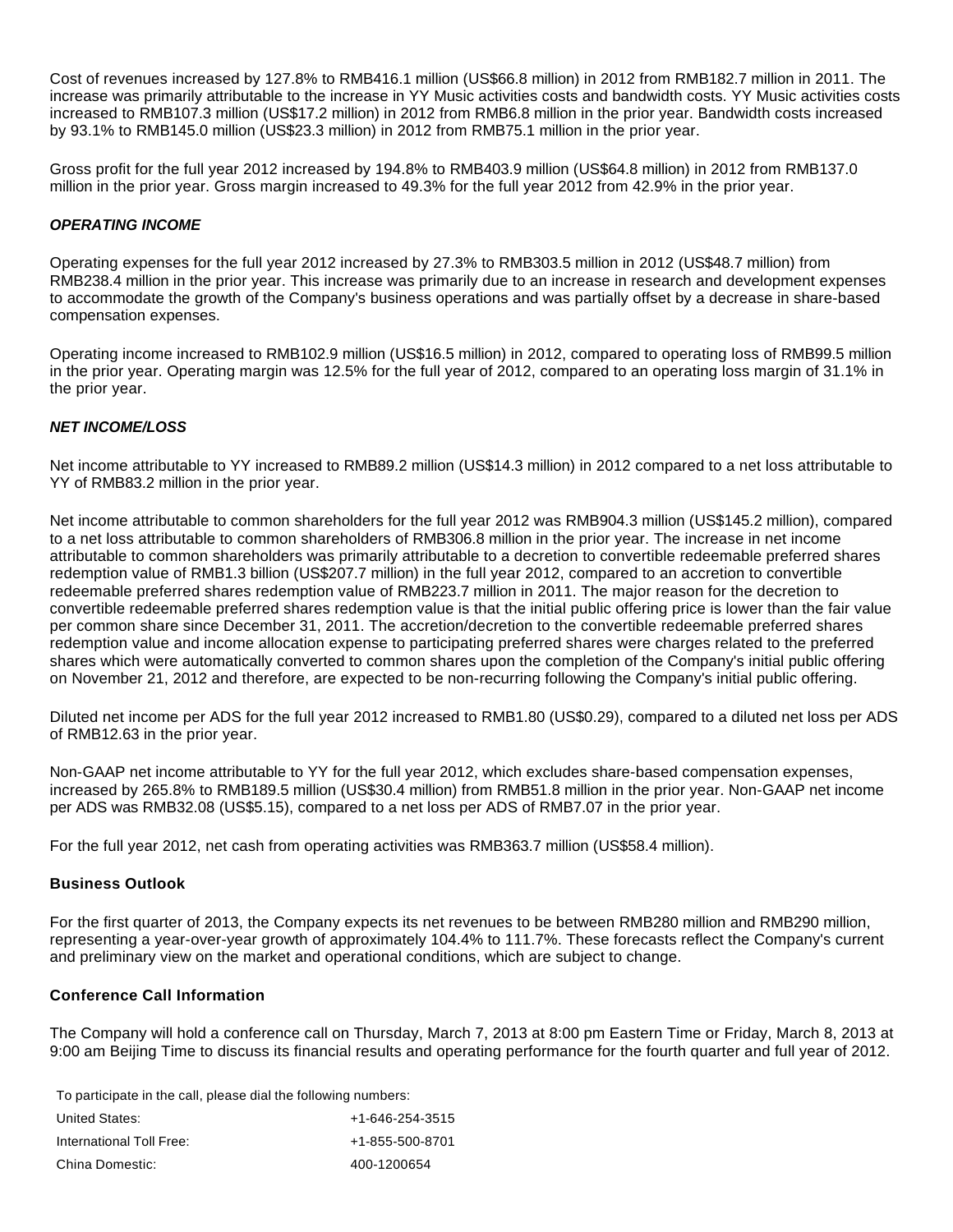Cost of revenues increased by 127.8% to RMB416.1 million (US\$66.8 million) in 2012 from RMB182.7 million in 2011. The increase was primarily attributable to the increase in YY Music activities costs and bandwidth costs. YY Music activities costs increased to RMB107.3 million (US\$17.2 million) in 2012 from RMB6.8 million in the prior year. Bandwidth costs increased by 93.1% to RMB145.0 million (US\$23.3 million) in 2012 from RMB75.1 million in the prior year.

Gross profit for the full year 2012 increased by 194.8% to RMB403.9 million (US\$64.8 million) in 2012 from RMB137.0 million in the prior year. Gross margin increased to 49.3% for the full year 2012 from 42.9% in the prior year.

#### **OPERATING INCOME**

Operating expenses for the full year 2012 increased by 27.3% to RMB303.5 million in 2012 (US\$48.7 million) from RMB238.4 million in the prior year. This increase was primarily due to an increase in research and development expenses to accommodate the growth of the Company's business operations and was partially offset by a decrease in share-based compensation expenses.

Operating income increased to RMB102.9 million (US\$16.5 million) in 2012, compared to operating loss of RMB99.5 million in the prior year. Operating margin was 12.5% for the full year of 2012, compared to an operating loss margin of 31.1% in the prior year.

#### **NET INCOME/LOSS**

Net income attributable to YY increased to RMB89.2 million (US\$14.3 million) in 2012 compared to a net loss attributable to YY of RMB83.2 million in the prior year.

Net income attributable to common shareholders for the full year 2012 was RMB904.3 million (US\$145.2 million), compared to a net loss attributable to common shareholders of RMB306.8 million in the prior year. The increase in net income attributable to common shareholders was primarily attributable to a decretion to convertible redeemable preferred shares redemption value of RMB1.3 billion (US\$207.7 million) in the full year 2012, compared to an accretion to convertible redeemable preferred shares redemption value of RMB223.7 million in 2011. The major reason for the decretion to convertible redeemable preferred shares redemption value is that the initial public offering price is lower than the fair value per common share since December 31, 2011. The accretion/decretion to the convertible redeemable preferred shares redemption value and income allocation expense to participating preferred shares were charges related to the preferred shares which were automatically converted to common shares upon the completion of the Company's initial public offering on November 21, 2012 and therefore, are expected to be non-recurring following the Company's initial public offering.

Diluted net income per ADS for the full year 2012 increased to RMB1.80 (US\$0.29), compared to a diluted net loss per ADS of RMB12.63 in the prior year.

Non-GAAP net income attributable to YY for the full year 2012, which excludes share-based compensation expenses, increased by 265.8% to RMB189.5 million (US\$30.4 million) from RMB51.8 million in the prior year. Non-GAAP net income per ADS was RMB32.08 (US\$5.15), compared to a net loss per ADS of RMB7.07 in the prior year.

For the full year 2012, net cash from operating activities was RMB363.7 million (US\$58.4 million).

#### **Business Outlook**

For the first quarter of 2013, the Company expects its net revenues to be between RMB280 million and RMB290 million, representing a year-over-year growth of approximately 104.4% to 111.7%. These forecasts reflect the Company's current and preliminary view on the market and operational conditions, which are subject to change.

# **Conference Call Information**

The Company will hold a conference call on Thursday, March 7, 2013 at 8:00 pm Eastern Time or Friday, March 8, 2013 at 9:00 am Beijing Time to discuss its financial results and operating performance for the fourth quarter and full year of 2012.

To participate in the call, please dial the following numbers:

| United States:           | +1-646-254-3515 |
|--------------------------|-----------------|
| International Toll Free: | +1-855-500-8701 |
| China Domestic:          | 400-1200654     |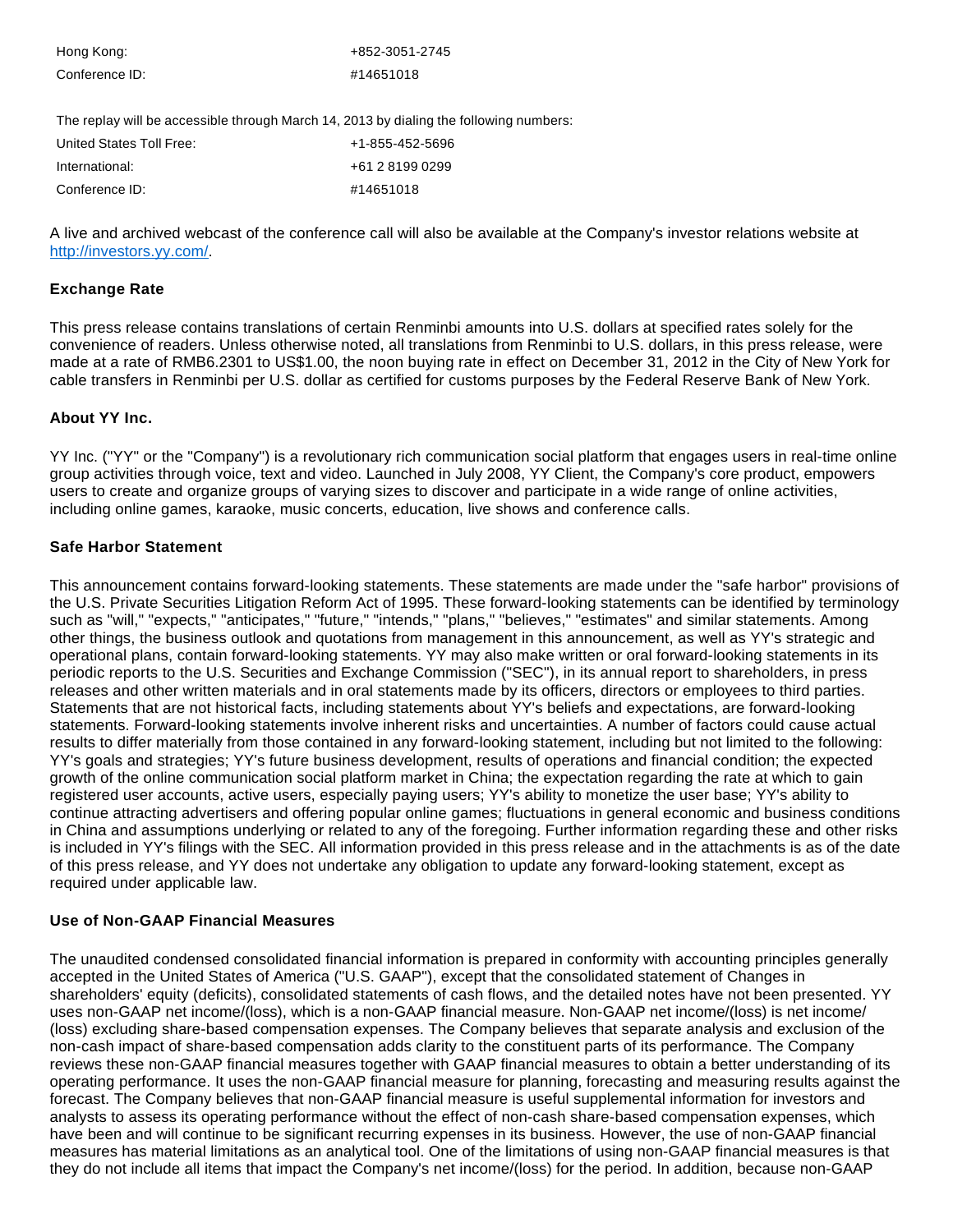| Hong Kong:     | +852-3051-2745 |
|----------------|----------------|
| Conference ID: | #14651018      |

The replay will be accessible through March 14, 2013 by dialing the following numbers:

| United States Toll Free: | +1-855-452-5696 |
|--------------------------|-----------------|
| International:           | +61 2 8199 0299 |
| Conference ID:           | #14651018       |

A live and archived webcast of the conference call will also be available at the Company's investor relations website at [http://investors.yy.com/.](http://investors.yy.com/)

#### **Exchange Rate**

This press release contains translations of certain Renminbi amounts into U.S. dollars at specified rates solely for the convenience of readers. Unless otherwise noted, all translations from Renminbi to U.S. dollars, in this press release, were made at a rate of RMB6.2301 to US\$1.00, the noon buying rate in effect on December 31, 2012 in the City of New York for cable transfers in Renminbi per U.S. dollar as certified for customs purposes by the Federal Reserve Bank of New York.

# **About YY Inc.**

YY Inc. ("YY" or the "Company") is a revolutionary rich communication social platform that engages users in real-time online group activities through voice, text and video. Launched in July 2008, YY Client, the Company's core product, empowers users to create and organize groups of varying sizes to discover and participate in a wide range of online activities, including online games, karaoke, music concerts, education, live shows and conference calls.

# **Safe Harbor Statement**

This announcement contains forward-looking statements. These statements are made under the "safe harbor" provisions of the U.S. Private Securities Litigation Reform Act of 1995. These forward-looking statements can be identified by terminology such as "will," "expects," "anticipates," "future," "intends," "plans," "believes," "estimates" and similar statements. Among other things, the business outlook and quotations from management in this announcement, as well as YY's strategic and operational plans, contain forward-looking statements. YY may also make written or oral forward-looking statements in its periodic reports to the U.S. Securities and Exchange Commission ("SEC"), in its annual report to shareholders, in press releases and other written materials and in oral statements made by its officers, directors or employees to third parties. Statements that are not historical facts, including statements about YY's beliefs and expectations, are forward-looking statements. Forward-looking statements involve inherent risks and uncertainties. A number of factors could cause actual results to differ materially from those contained in any forward-looking statement, including but not limited to the following: YY's goals and strategies; YY's future business development, results of operations and financial condition; the expected growth of the online communication social platform market in China; the expectation regarding the rate at which to gain registered user accounts, active users, especially paying users; YY's ability to monetize the user base; YY's ability to continue attracting advertisers and offering popular online games; fluctuations in general economic and business conditions in China and assumptions underlying or related to any of the foregoing. Further information regarding these and other risks is included in YY's filings with the SEC. All information provided in this press release and in the attachments is as of the date of this press release, and YY does not undertake any obligation to update any forward-looking statement, except as required under applicable law.

# **Use of Non-GAAP Financial Measures**

The unaudited condensed consolidated financial information is prepared in conformity with accounting principles generally accepted in the United States of America ("U.S. GAAP"), except that the consolidated statement of Changes in shareholders' equity (deficits), consolidated statements of cash flows, and the detailed notes have not been presented. YY uses non-GAAP net income/(loss), which is a non-GAAP financial measure. Non-GAAP net income/(loss) is net income/ (loss) excluding share-based compensation expenses. The Company believes that separate analysis and exclusion of the non-cash impact of share-based compensation adds clarity to the constituent parts of its performance. The Company reviews these non-GAAP financial measures together with GAAP financial measures to obtain a better understanding of its operating performance. It uses the non-GAAP financial measure for planning, forecasting and measuring results against the forecast. The Company believes that non-GAAP financial measure is useful supplemental information for investors and analysts to assess its operating performance without the effect of non-cash share-based compensation expenses, which have been and will continue to be significant recurring expenses in its business. However, the use of non-GAAP financial measures has material limitations as an analytical tool. One of the limitations of using non-GAAP financial measures is that they do not include all items that impact the Company's net income/(loss) for the period. In addition, because non-GAAP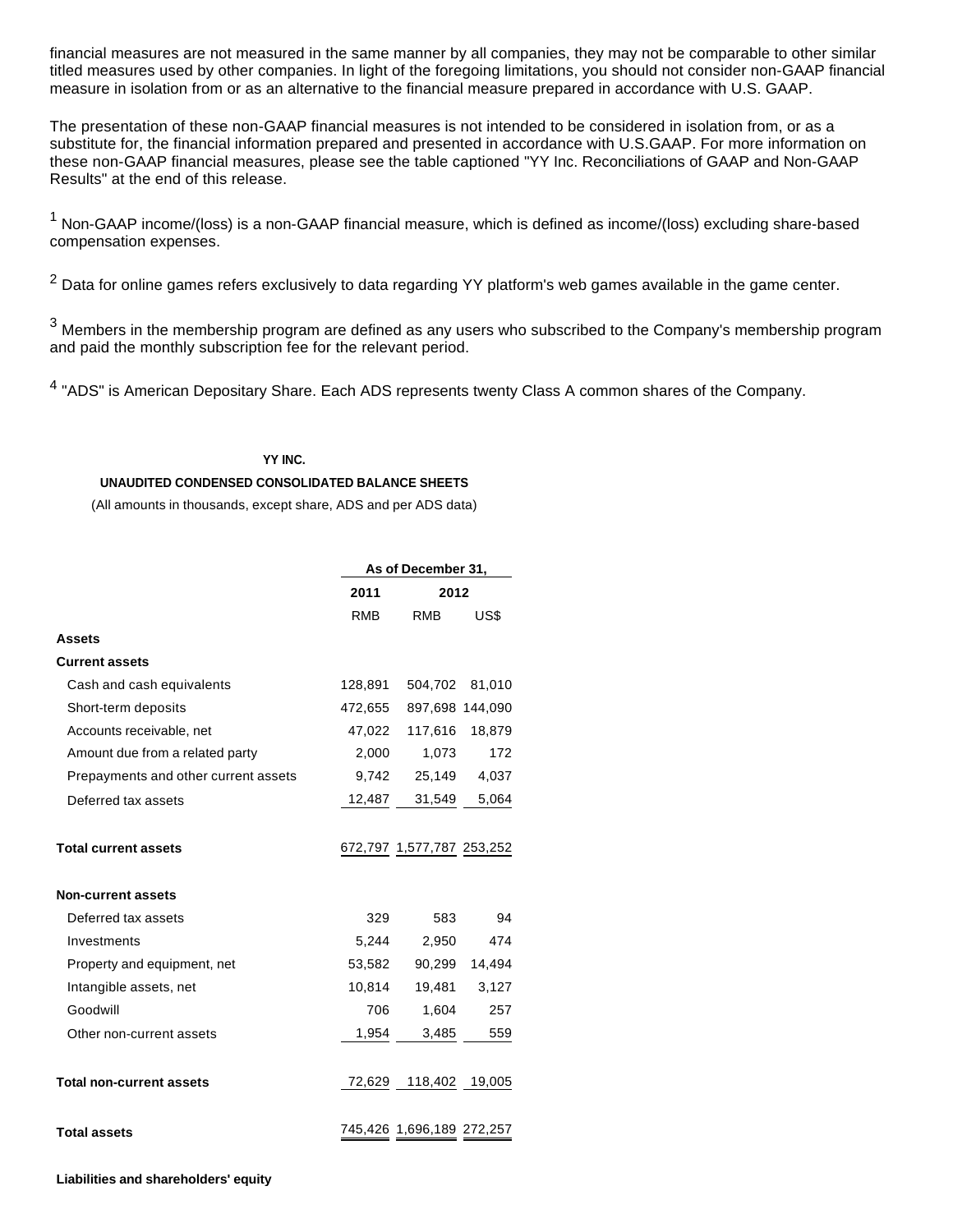financial measures are not measured in the same manner by all companies, they may not be comparable to other similar titled measures used by other companies. In light of the foregoing limitations, you should not consider non-GAAP financial measure in isolation from or as an alternative to the financial measure prepared in accordance with U.S. GAAP.

The presentation of these non-GAAP financial measures is not intended to be considered in isolation from, or as a substitute for, the financial information prepared and presented in accordance with U.S.GAAP. For more information on these non-GAAP financial measures, please see the table captioned "YY Inc. Reconciliations of GAAP and Non-GAAP Results" at the end of this release.

 $1$  Non-GAAP income/(loss) is a non-GAAP financial measure, which is defined as income/(loss) excluding share-based compensation expenses.

 $2$  Data for online games refers exclusively to data regarding YY platform's web games available in the game center.

 $^3$  Members in the membership program are defined as any users who subscribed to the Company's membership program and paid the monthly subscription fee for the relevant period.

<sup>4</sup> "ADS" is American Depositary Share. Each ADS represents twenty Class A common shares of the Company.

#### **YY INC.**

#### **UNAUDITED CONDENSED CONSOLIDATED BALANCE SHEETS**

(All amounts in thousands, except share, ADS and per ADS data)

|                                      | As of December 31, |                           |                 |  |  |
|--------------------------------------|--------------------|---------------------------|-----------------|--|--|
|                                      | 2011               | 2012                      |                 |  |  |
|                                      | <b>RMB</b>         | <b>RMB</b>                | US\$            |  |  |
| <b>Assets</b>                        |                    |                           |                 |  |  |
| <b>Current assets</b>                |                    |                           |                 |  |  |
| Cash and cash equivalents            | 128,891            | 504,702                   | 81,010          |  |  |
| Short-term deposits                  | 472,655            |                           | 897,698 144,090 |  |  |
| Accounts receivable, net             | 47,022             | 117,616                   | 18,879          |  |  |
| Amount due from a related party      | 2,000              | 1,073                     | 172             |  |  |
| Prepayments and other current assets | 9,742              | 25,149                    | 4,037           |  |  |
| Deferred tax assets                  | 12,487             | 31,549                    | 5,064           |  |  |
|                                      |                    |                           |                 |  |  |
| <b>Total current assets</b>          |                    | 672,797 1,577,787 253,252 |                 |  |  |
|                                      |                    |                           |                 |  |  |
| <b>Non-current assets</b>            |                    |                           |                 |  |  |
| Deferred tax assets                  | 329                | 583                       | 94              |  |  |
| Investments                          | 5,244              | 2,950                     | 474             |  |  |
| Property and equipment, net          | 53,582             | 90,299                    | 14,494          |  |  |
| Intangible assets, net               | 10,814             | 19,481                    | 3,127           |  |  |
| Goodwill                             | 706                | 1,604                     | 257             |  |  |
| Other non-current assets             | 1,954              | 3,485                     | 559             |  |  |
|                                      |                    |                           |                 |  |  |
| <b>Total non-current assets</b>      | 72,629             | 118,402                   | 19,005          |  |  |
| <b>Total assets</b>                  |                    | 745,426 1,696,189 272,257 |                 |  |  |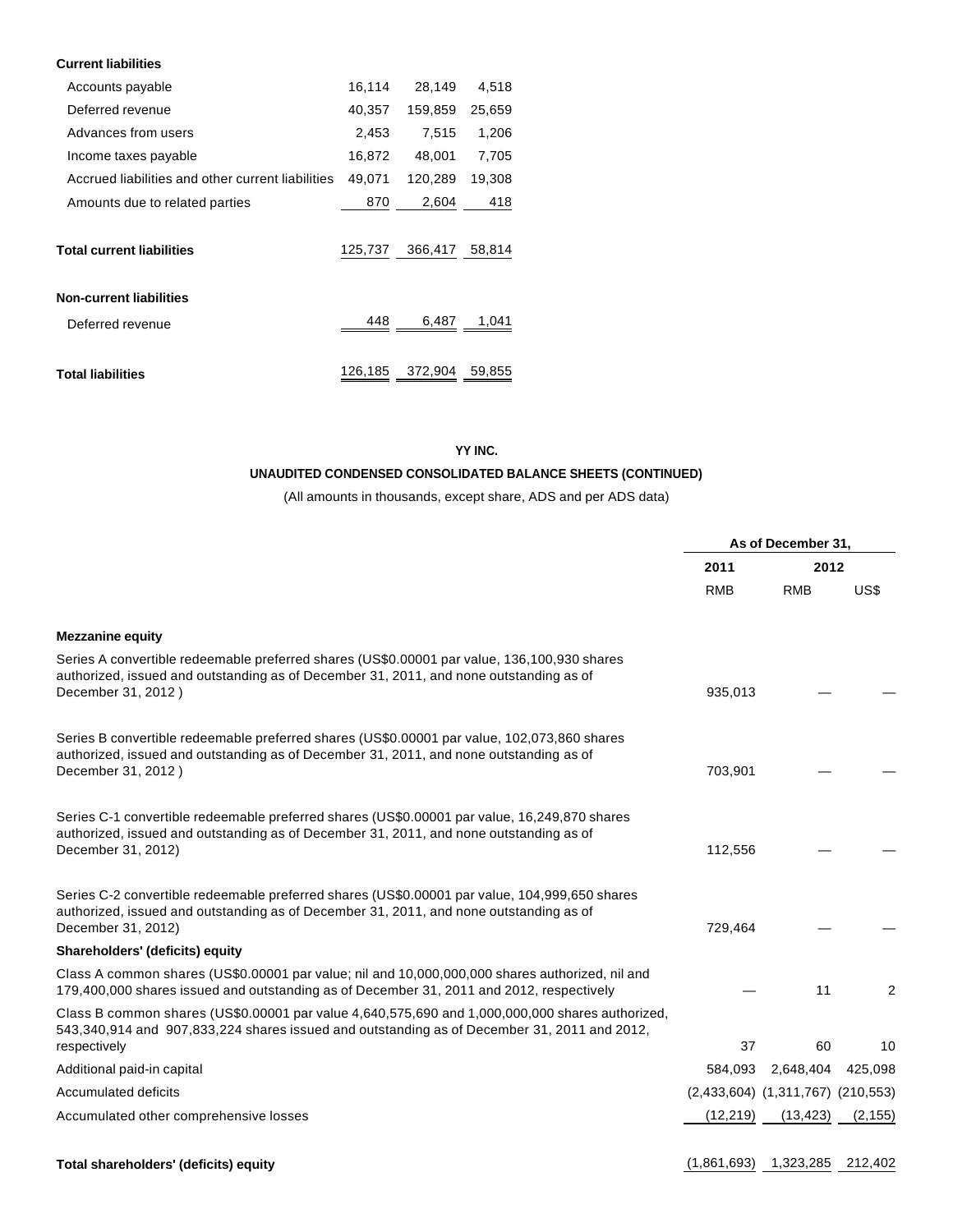| <b>Current liabilities</b>                        |         |                |        |
|---------------------------------------------------|---------|----------------|--------|
| Accounts payable                                  | 16,114  | 28,149         | 4,518  |
| Deferred revenue                                  | 40,357  | 159,859        | 25,659 |
| Advances from users                               | 2,453   | 7,515          | 1,206  |
| Income taxes payable                              | 16,872  | 48,001         | 7,705  |
| Accrued liabilities and other current liabilities | 49,071  | 120,289        | 19,308 |
| Amounts due to related parties                    | 870     | 2,604          | 418    |
|                                                   |         |                |        |
| <b>Total current liabilities</b>                  | 125,737 | 366,417 58,814 |        |
| <b>Non-current liabilities</b>                    |         |                |        |
| Deferred revenue                                  | 448     | 6,487          | 1,041  |
|                                                   |         |                |        |
| <b>Total liabilities</b>                          | 126,185 | 372,904        | 59,855 |

#### **YY INC.**

# **UNAUDITED CONDENSED CONSOLIDATED BALANCE SHEETS (CONTINUED)**

(All amounts in thousands, except share, ADS and per ADS data)

|                                                                                                                                                                                                                | As of December 31, |                                         |                |
|----------------------------------------------------------------------------------------------------------------------------------------------------------------------------------------------------------------|--------------------|-----------------------------------------|----------------|
|                                                                                                                                                                                                                | 2011               | 2012                                    |                |
|                                                                                                                                                                                                                | <b>RMB</b>         | <b>RMB</b>                              | US\$           |
| <b>Mezzanine equity</b>                                                                                                                                                                                        |                    |                                         |                |
| Series A convertible redeemable preferred shares (US\$0.00001 par value, 136,100,930 shares<br>authorized, issued and outstanding as of December 31, 2011, and none outstanding as of<br>December 31, 2012)    | 935,013            |                                         |                |
| Series B convertible redeemable preferred shares (US\$0.00001 par value, 102,073,860 shares<br>authorized, issued and outstanding as of December 31, 2011, and none outstanding as of<br>December 31, 2012)    | 703,901            |                                         |                |
| Series C-1 convertible redeemable preferred shares (US\$0.00001 par value, 16,249,870 shares<br>authorized, issued and outstanding as of December 31, 2011, and none outstanding as of<br>December 31, 2012)   | 112,556            |                                         |                |
| Series C-2 convertible redeemable preferred shares (US\$0.00001 par value, 104,999,650 shares<br>authorized, issued and outstanding as of December 31, 2011, and none outstanding as of<br>December 31, 2012)  | 729,464            |                                         |                |
| Shareholders' (deficits) equity                                                                                                                                                                                |                    |                                         |                |
| Class A common shares (US\$0.00001 par value; nil and 10,000,000,000 shares authorized, nil and<br>179,400,000 shares issued and outstanding as of December 31, 2011 and 2012, respectively                    |                    | 11                                      | $\overline{2}$ |
| Class B common shares (US\$0.00001 par value 4,640,575,690 and 1,000,000,000 shares authorized,<br>543,340,914 and 907,833,224 shares issued and outstanding as of December 31, 2011 and 2012,<br>respectively | 37                 | 60                                      | 10             |
| Additional paid-in capital                                                                                                                                                                                     | 584,093            | 2,648,404                               | 425,098        |
| <b>Accumulated deficits</b>                                                                                                                                                                                    |                    | $(2,433,604)$ $(1,311,767)$ $(210,553)$ |                |
|                                                                                                                                                                                                                |                    |                                         |                |
| Accumulated other comprehensive losses                                                                                                                                                                         | (12, 219)          | (13, 423)                               | (2, 155)       |
|                                                                                                                                                                                                                |                    |                                         |                |

# **Total shareholders' (deficits) equity** (1,861,693) 1,323,285 212,402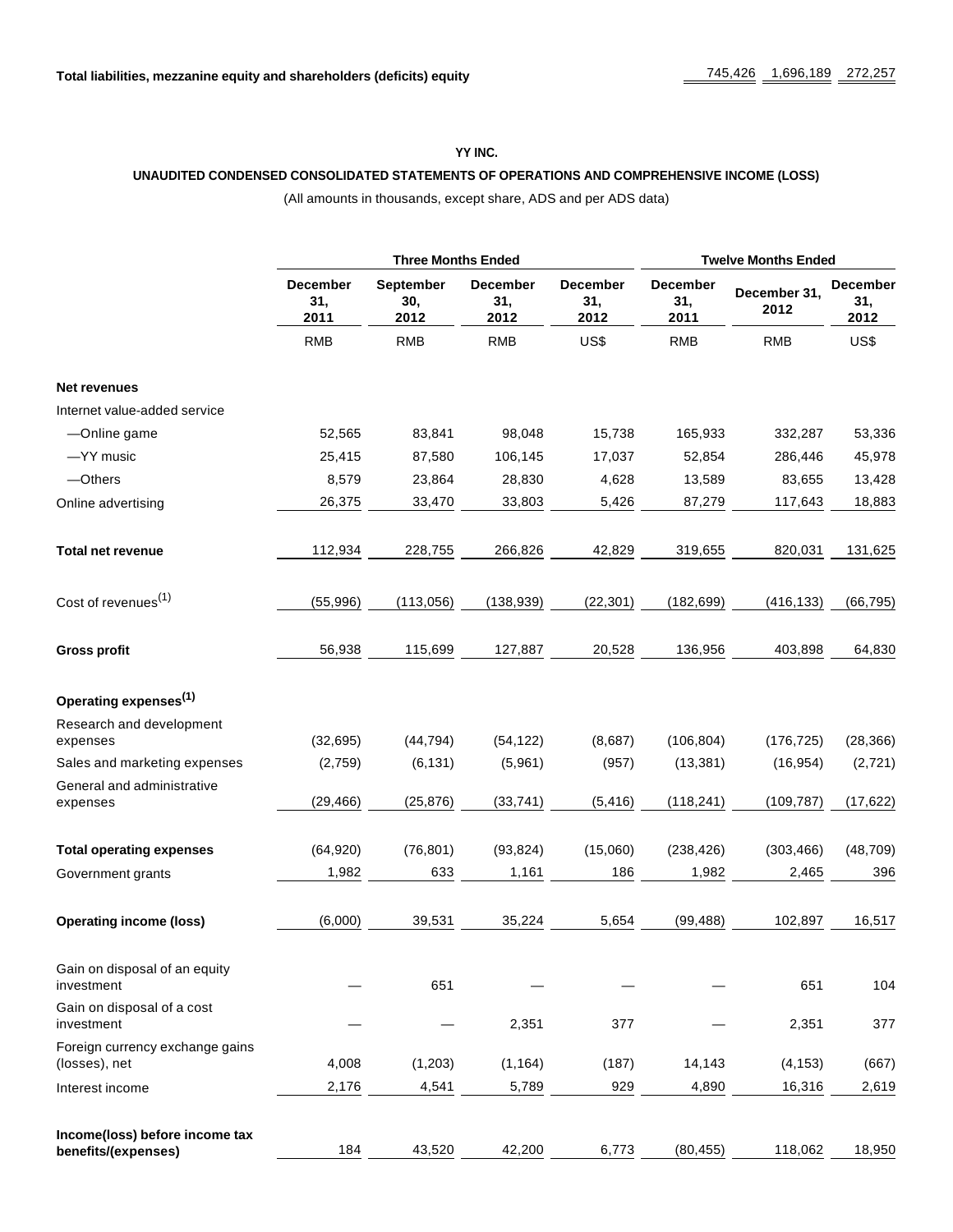#### **YY INC.**

# **UNAUDITED CONDENSED CONSOLIDATED STATEMENTS OF OPERATIONS AND COMPREHENSIVE INCOME (LOSS)**

(All amounts in thousands, except share, ADS and per ADS data)

|                                                       |                                | <b>Three Months Ended</b> |                                |                                | <b>Twelve Months Ended</b>     |                      |                                |
|-------------------------------------------------------|--------------------------------|---------------------------|--------------------------------|--------------------------------|--------------------------------|----------------------|--------------------------------|
|                                                       | <b>December</b><br>31,<br>2011 | September<br>30,<br>2012  | <b>December</b><br>31,<br>2012 | <b>December</b><br>31,<br>2012 | <b>December</b><br>31,<br>2011 | December 31,<br>2012 | <b>December</b><br>31,<br>2012 |
|                                                       | <b>RMB</b>                     | <b>RMB</b>                | <b>RMB</b>                     | US\$                           | <b>RMB</b>                     | <b>RMB</b>           | US\$                           |
| <b>Net revenues</b>                                   |                                |                           |                                |                                |                                |                      |                                |
| Internet value-added service                          |                                |                           |                                |                                |                                |                      |                                |
| -Online game                                          | 52,565                         | 83,841                    | 98,048                         | 15,738                         | 165,933                        | 332,287              | 53,336                         |
| -YY music                                             | 25,415                         | 87,580                    | 106,145                        | 17,037                         | 52,854                         | 286,446              | 45,978                         |
| $-$ Others                                            | 8,579                          | 23,864                    | 28,830                         | 4,628                          | 13,589                         | 83,655               | 13,428                         |
| Online advertising                                    | 26,375                         | 33,470                    | 33,803                         | 5,426                          | 87,279                         | 117,643              | 18,883                         |
| Total net revenue                                     | 112,934                        | 228,755                   | 266,826                        | 42,829                         | 319,655                        | 820,031              | 131,625                        |
| Cost of revenues <sup>(1)</sup>                       | (55, 996)                      | (113,056)                 | (138, 939)                     | (22, 301)                      | (182, 699)                     | (416, 133)           | (66, 795)                      |
| <b>Gross profit</b>                                   | 56,938                         | 115,699                   | 127,887                        | 20,528                         | 136,956                        | 403,898              | 64,830                         |
| Operating expenses <sup>(1)</sup>                     |                                |                           |                                |                                |                                |                      |                                |
| Research and development<br>expenses                  | (32, 695)                      | (44, 794)                 | (54, 122)                      | (8,687)                        | (106, 804)                     | (176, 725)           | (28, 366)                      |
| Sales and marketing expenses                          | (2,759)                        | (6, 131)                  | (5,961)                        | (957)                          | (13, 381)                      | (16, 954)            | (2,721)                        |
| General and administrative<br>expenses                | (29, 466)                      | (25, 876)                 | (33, 741)                      | (5, 416)                       | (118, 241)                     | (109, 787)           | (17, 622)                      |
| <b>Total operating expenses</b>                       | (64, 920)                      | (76, 801)                 | (93, 824)                      | (15,060)                       | (238, 426)                     | (303, 466)           | (48, 709)                      |
| Government grants                                     | 1,982                          | 633                       | 1,161                          | 186                            | 1,982                          | 2,465                | 396                            |
| <b>Operating income (loss)</b>                        | (6,000)                        | 39,531                    | 35,224                         | 5,654                          | (99, 488)                      | 102,897              | 16,517                         |
| Gain on disposal of an equity<br>investment           |                                | 651                       |                                |                                |                                | 651                  | 104                            |
| Gain on disposal of a cost<br>investment              |                                |                           | 2,351                          | 377                            |                                | 2,351                | 377                            |
| Foreign currency exchange gains<br>(losses), net      | 4,008                          | (1,203)                   | (1, 164)                       | (187)                          | 14,143                         | (4, 153)             | (667)                          |
| Interest income                                       | 2,176                          | 4,541                     | 5,789                          | 929                            | 4,890                          | 16,316               | 2,619                          |
| Income(loss) before income tax<br>benefits/(expenses) | 184                            | 43,520                    | 42,200                         | 6,773                          | (80, 455)                      | 118,062              | 18,950                         |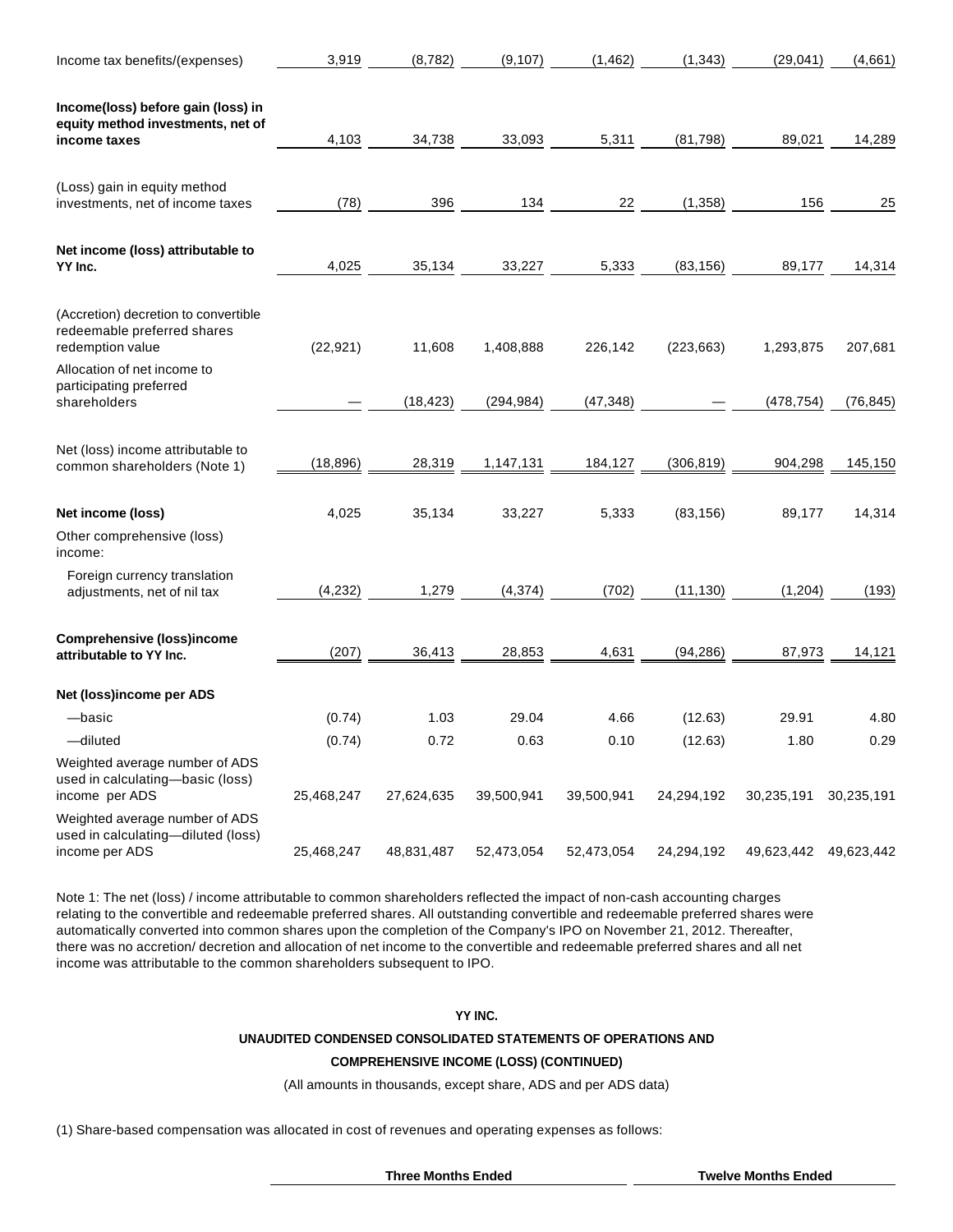| Income tax benefits/(expenses)                                                          | 3,919      | (8, 782)   | (9, 107)   | (1, 462)   | (1, 343)   | (29, 041)  | (4,661)    |
|-----------------------------------------------------------------------------------------|------------|------------|------------|------------|------------|------------|------------|
| Income(loss) before gain (loss) in                                                      |            |            |            |            |            |            |            |
| equity method investments, net of<br>income taxes                                       | 4,103      | 34,738     | 33,093     | 5,311      | (81, 798)  | 89,021     | 14,289     |
| (Loss) gain in equity method<br>investments, net of income taxes                        | (78)       | 396        | 134        | 22         | (1,358)    | 156        | 25         |
| Net income (loss) attributable to<br>YY Inc.                                            | 4,025      | 35,134     | 33,227     | 5,333      | (83, 156)  | 89,177     | 14,314     |
| (Accretion) decretion to convertible<br>redeemable preferred shares<br>redemption value | (22, 921)  | 11,608     | 1,408,888  | 226,142    | (223, 663) | 1,293,875  | 207,681    |
| Allocation of net income to<br>participating preferred<br>shareholders                  |            | (18, 423)  | (294, 984) | (47, 348)  |            | (478, 754) | (76, 845)  |
| Net (loss) income attributable to<br>common shareholders (Note 1)                       | (18, 896)  | 28,319     | 1,147,131  | 184,127    | (306, 819) | 904,298    | 145,150    |
| Net income (loss)                                                                       | 4,025      | 35,134     | 33,227     | 5,333      | (83, 156)  | 89,177     | 14,314     |
| Other comprehensive (loss)<br>income:                                                   |            |            |            |            |            |            |            |
| Foreign currency translation<br>adjustments, net of nil tax                             | (4,232)    | 1,279      | (4, 374)   | (702)      | (11, 130)  | (1,204)    | (193)      |
| <b>Comprehensive (loss)income</b><br>attributable to YY Inc.                            | (207)      | 36,413     | 28,853     | 4,631      | (94,286)   | 87,973     | 14,121     |
| Net (loss)income per ADS                                                                |            |            |            |            |            |            |            |
| -basic                                                                                  | (0.74)     | 1.03       | 29.04      | 4.66       | (12.63)    | 29.91      | 4.80       |
| -diluted                                                                                | (0.74)     | 0.72       | 0.63       | 0.10       | (12.63)    | 1.80       | 0.29       |
| Weighted average number of ADS<br>used in calculating-basic (loss)<br>income per ADS    | 25,468,247 | 27,624,635 | 39,500,941 | 39,500,941 | 24,294,192 | 30,235,191 | 30,235,191 |
| Weighted average number of ADS<br>used in calculating-diluted (loss)<br>income per ADS  | 25,468,247 | 48,831,487 | 52,473,054 | 52,473,054 | 24,294,192 | 49,623,442 | 49,623,442 |

Note 1: The net (loss) / income attributable to common shareholders reflected the impact of non-cash accounting charges relating to the convertible and redeemable preferred shares. All outstanding convertible and redeemable preferred shares were automatically converted into common shares upon the completion of the Company's IPO on November 21, 2012. Thereafter, there was no accretion/ decretion and allocation of net income to the convertible and redeemable preferred shares and all net income was attributable to the common shareholders subsequent to IPO.

#### **YY INC.**

#### **UNAUDITED CONDENSED CONSOLIDATED STATEMENTS OF OPERATIONS AND**

#### **COMPREHENSIVE INCOME (LOSS) (CONTINUED)**

(All amounts in thousands, except share, ADS and per ADS data)

(1) Share-based compensation was allocated in cost of revenues and operating expenses as follows: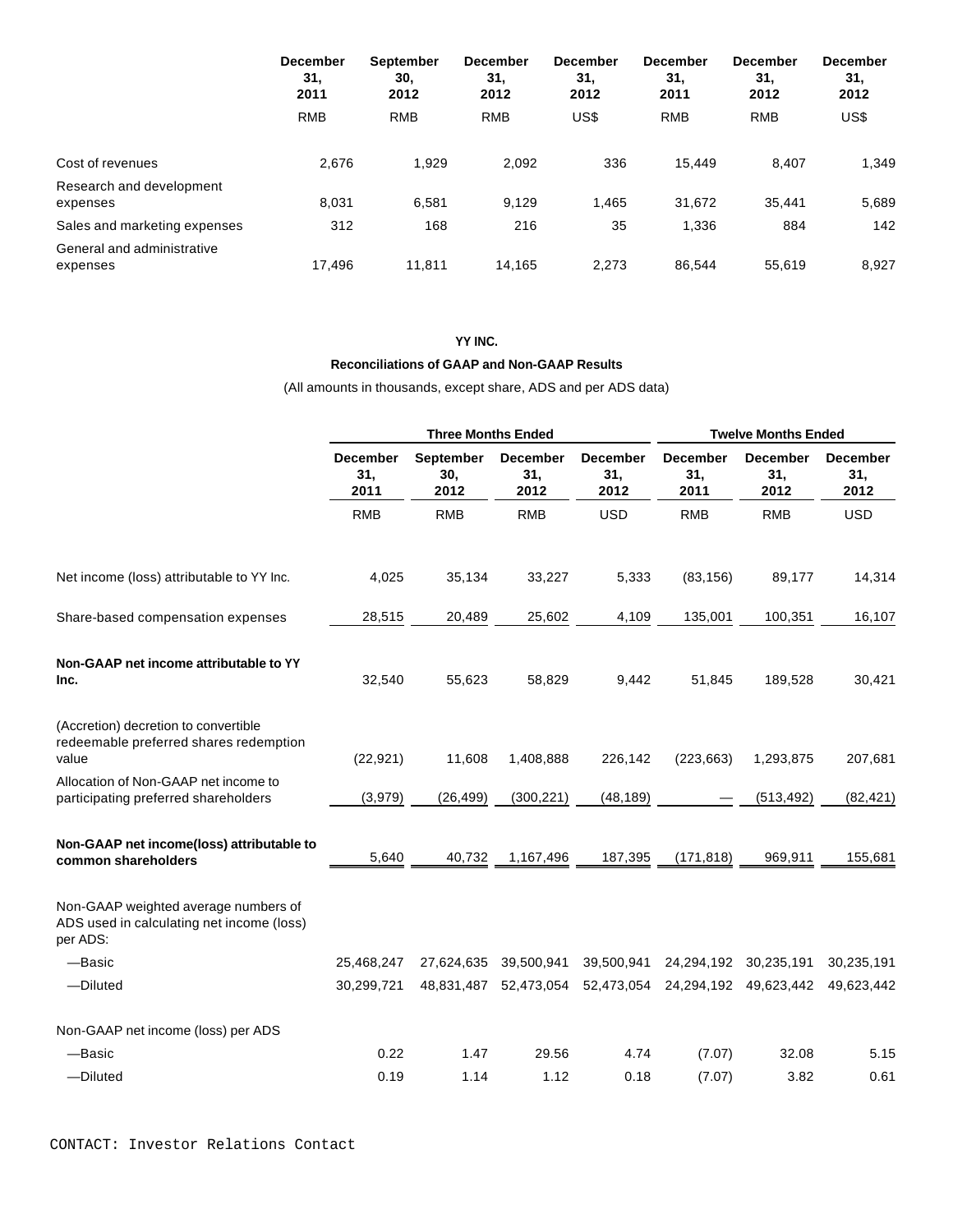|                                        | <b>December</b><br>31,<br>2011 | September<br>30,<br>2012 | <b>December</b><br>31,<br>2012 | <b>December</b><br>31,<br>2012 | <b>December</b><br>31.<br>2011 | <b>December</b><br>31,<br>2012 | <b>December</b><br>31,<br>2012 |
|----------------------------------------|--------------------------------|--------------------------|--------------------------------|--------------------------------|--------------------------------|--------------------------------|--------------------------------|
|                                        | <b>RMB</b>                     | <b>RMB</b>               | <b>RMB</b>                     | US\$                           | <b>RMB</b>                     | <b>RMB</b>                     | US\$                           |
| Cost of revenues                       | 2.676                          | 1.929                    | 2,092                          | 336                            | 15.449                         | 8.407                          | 1,349                          |
| Research and development<br>expenses   | 8,031                          | 6,581                    | 9,129                          | 1.465                          | 31,672                         | 35.441                         | 5,689                          |
| Sales and marketing expenses           | 312                            | 168                      | 216                            | 35                             | 1,336                          | 884                            | 142                            |
| General and administrative<br>expenses | 17.496                         | 11.811                   | 14,165                         | 2.273                          | 86.544                         | 55.619                         | 8,927                          |

# **YY INC.**

**Reconciliations of GAAP and Non-GAAP Results**

(All amounts in thousands, except share, ADS and per ADS data)

|                                                                                               |                                | <b>Three Months Ended</b> |                                | <b>Twelve Months Ended</b>     |                                  |                                |                                |  |
|-----------------------------------------------------------------------------------------------|--------------------------------|---------------------------|--------------------------------|--------------------------------|----------------------------------|--------------------------------|--------------------------------|--|
|                                                                                               | <b>December</b><br>31,<br>2011 | September<br>30,<br>2012  | <b>December</b><br>31,<br>2012 | <b>December</b><br>31,<br>2012 | <b>December</b><br>31,<br>2011   | <b>December</b><br>31,<br>2012 | <b>December</b><br>31,<br>2012 |  |
|                                                                                               | <b>RMB</b>                     | <b>RMB</b>                | <b>RMB</b>                     | <b>USD</b>                     | <b>RMB</b>                       | <b>RMB</b>                     | <b>USD</b>                     |  |
| Net income (loss) attributable to YY Inc.                                                     | 4,025                          | 35,134                    | 33,227                         | 5,333                          | (83, 156)                        | 89,177                         | 14,314                         |  |
| Share-based compensation expenses                                                             | 28,515                         | 20,489                    | 25,602                         | 4,109                          | 135,001                          | 100,351                        | 16,107                         |  |
| Non-GAAP net income attributable to YY<br>Inc.                                                | 32,540                         | 55,623                    | 58,829                         | 9,442                          | 51,845                           | 189,528                        | 30,421                         |  |
| (Accretion) decretion to convertible<br>redeemable preferred shares redemption<br>value       | (22, 921)                      | 11,608                    | 1,408,888                      | 226,142                        | (223, 663)                       | 1,293,875                      | 207,681                        |  |
| Allocation of Non-GAAP net income to<br>participating preferred shareholders                  | (3,979)                        | (26, 499)                 | (300, 221)                     | (48, 189)                      |                                  | (513, 492)                     | (82, 421)                      |  |
| Non-GAAP net income(loss) attributable to<br>common shareholders                              | 5,640                          | 40,732                    | 1,167,496                      | 187,395                        | (171, 818)                       | 969,911                        | 155,681                        |  |
| Non-GAAP weighted average numbers of<br>ADS used in calculating net income (loss)<br>per ADS: |                                |                           |                                |                                |                                  |                                |                                |  |
| -Basic                                                                                        | 25,468,247                     | 27,624,635                | 39,500,941                     | 39,500,941                     |                                  | 24, 294, 192 30, 235, 191      | 30,235,191                     |  |
| -Diluted                                                                                      | 30,299,721                     | 48,831,487                | 52,473,054                     |                                | 52,473,054 24,294,192 49,623,442 |                                | 49,623,442                     |  |
| Non-GAAP net income (loss) per ADS                                                            |                                |                           |                                |                                |                                  |                                |                                |  |
| -Basic                                                                                        | 0.22                           | 1.47                      | 29.56                          | 4.74                           | (7.07)                           | 32.08                          | 5.15                           |  |
| -Diluted                                                                                      | 0.19                           | 1.14                      | 1.12                           | 0.18                           | (7.07)                           | 3.82                           | 0.61                           |  |